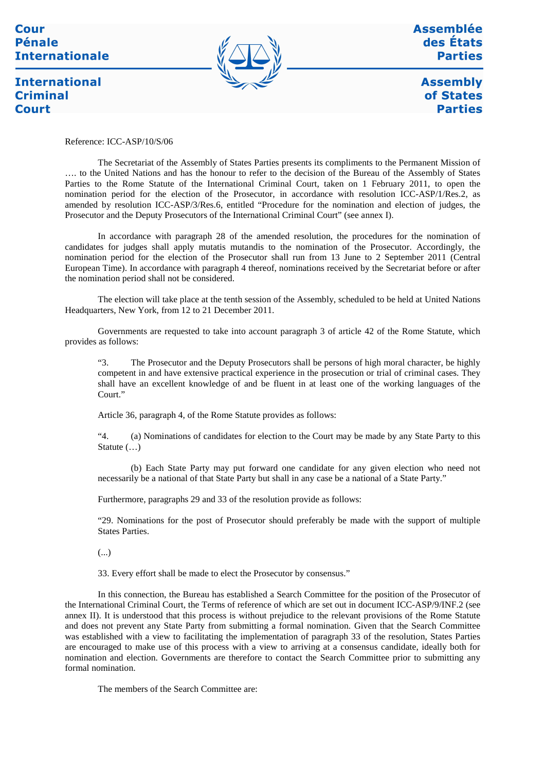#### Cour **Pénale Internationale**

**International** 

**Criminal** 

**Court** 



Assemblée des États **Parties** 

**Assembly** of States **Parties** 

Reference: ICC-ASP/10/S/06

The Secretariat of the Assembly of States Parties presents its compliments to the Permanent Mission of …. to the United Nations and has the honour to refer to the decision of the Bureau of the Assembly of States Parties to the Rome Statute of the International Criminal Court, taken on 1 February 2011, to open the nomination period for the election of the Prosecutor, in accordance with resolution ICC-ASP/1/Res.2, as amended by resolution ICC-ASP/3/Res.6, entitled "Procedure for the nomination and election of judges, the Prosecutor and the Deputy Prosecutors of the International Criminal Court" (see annex I).

In accordance with paragraph 28 of the amended resolution, the procedures for the nomination of candidates for judges shall apply mutatis mutandis to the nomination of the Prosecutor. Accordingly, the nomination period for the election of the Prosecutor shall run from 13 June to 2 September 2011 (Central European Time). In accordance with paragraph 4 thereof, nominations received by the Secretariat before or after the nomination period shall not be considered.

The election will take place at the tenth session of the Assembly, scheduled to be held at United Nations Headquarters, New York, from 12 to 21 December 2011.

Governments are requested to take into account paragraph 3 of article 42 of the Rome Statute, which provides as follows:

"3. The Prosecutor and the Deputy Prosecutors shall be persons of high moral character, be highly competent in and have extensive practical experience in the prosecution or trial of criminal cases. They shall have an excellent knowledge of and be fluent in at least one of the working languages of the Court."

Article 36, paragraph 4, of the Rome Statute provides as follows:

"4. (a) Nominations of candidates for election to the Court may be made by any State Party to this Statute (…)

(b) Each State Party may put forward one candidate for any given election who need not necessarily be a national of that State Party but shall in any case be a national of a State Party."

Furthermore, paragraphs 29 and 33 of the resolution provide as follows:

"29. Nominations for the post of Prosecutor should preferably be made with the support of multiple States Parties.

(...)

33. Every effort shall be made to elect the Prosecutor by consensus."

In this connection, the Bureau has established a Search Committee for the position of the Prosecutor of the International Criminal Court, the Terms of reference of which are set out in document ICC-ASP/9/INF.2 (see annex II). It is understood that this process is without prejudice to the relevant provisions of the Rome Statute and does not prevent any State Party from submitting a formal nomination. Given that the Search Committee was established with a view to facilitating the implementation of paragraph 33 of the resolution, States Parties are encouraged to make use of this process with a view to arriving at a consensus candidate, ideally both for nomination and election. Governments are therefore to contact the Search Committee prior to submitting any formal nomination.

The members of the Search Committee are: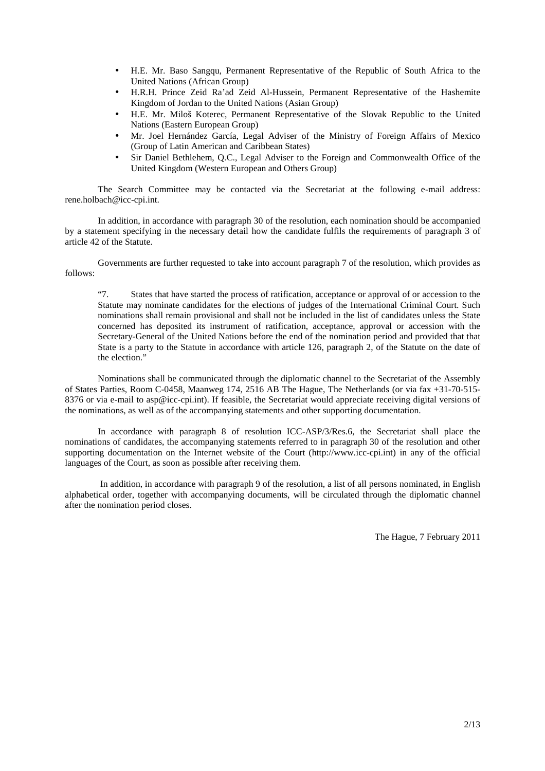- H.E. Mr. Baso Sangqu, Permanent Representative of the Republic of South Africa to the United Nations (African Group)
- H.R.H. Prince Zeid Ra'ad Zeid Al-Hussein, Permanent Representative of the Hashemite Kingdom of Jordan to the United Nations (Asian Group)
- H.E. Mr. Miloš Koterec, Permanent Representative of the Slovak Republic to the United Nations (Eastern European Group)
- Mr. Joel Hernández García, Legal Adviser of the Ministry of Foreign Affairs of Mexico (Group of Latin American and Caribbean States)
- Sir Daniel Bethlehem, Q.C., Legal Adviser to the Foreign and Commonwealth Office of the United Kingdom (Western European and Others Group)

The Search Committee may be contacted via the Secretariat at the following e-mail address: rene.holbach@icc-cpi.int.

In addition, in accordance with paragraph 30 of the resolution, each nomination should be accompanied by a statement specifying in the necessary detail how the candidate fulfils the requirements of paragraph 3 of article 42 of the Statute.

Governments are further requested to take into account paragraph 7 of the resolution, which provides as follows:

"7. States that have started the process of ratification, acceptance or approval of or accession to the Statute may nominate candidates for the elections of judges of the International Criminal Court. Such nominations shall remain provisional and shall not be included in the list of candidates unless the State concerned has deposited its instrument of ratification, acceptance, approval or accession with the Secretary-General of the United Nations before the end of the nomination period and provided that that State is a party to the Statute in accordance with article 126, paragraph 2, of the Statute on the date of the election."

Nominations shall be communicated through the diplomatic channel to the Secretariat of the Assembly of States Parties, Room C-0458, Maanweg 174, 2516 AB The Hague, The Netherlands (or via fax +31-70-515- 8376 or via e-mail to asp@icc-cpi.int). If feasible, the Secretariat would appreciate receiving digital versions of the nominations, as well as of the accompanying statements and other supporting documentation.

In accordance with paragraph 8 of resolution ICC-ASP/3/Res.6, the Secretariat shall place the nominations of candidates, the accompanying statements referred to in paragraph 30 of the resolution and other supporting documentation on the Internet website of the Court (http://www.icc-cpi.int) in any of the official languages of the Court, as soon as possible after receiving them.

 In addition, in accordance with paragraph 9 of the resolution, a list of all persons nominated, in English alphabetical order, together with accompanying documents, will be circulated through the diplomatic channel after the nomination period closes.

The Hague, 7 February 2011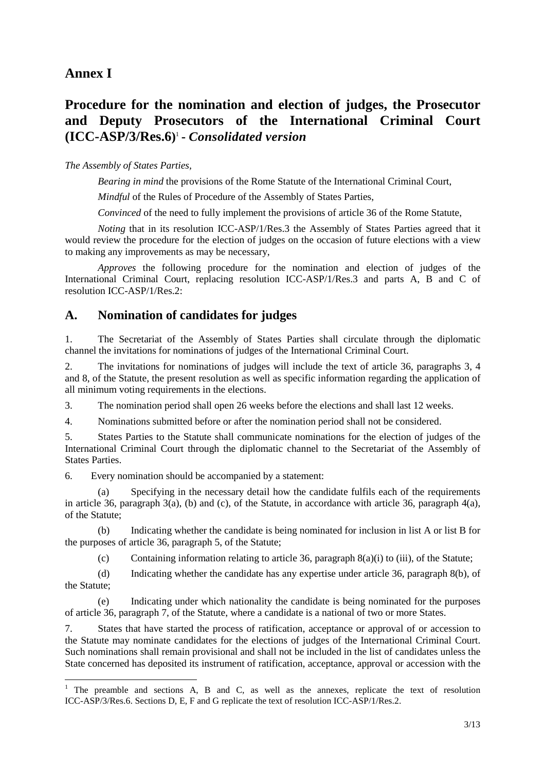### **Annex I**

 $\overline{a}$ 

# **Procedure for the nomination and election of judges, the Prosecutor and Deputy Prosecutors of the International Criminal Court (ICC-ASP/3/Res.6)** 1 **-** *Consolidated version*

#### *The Assembly of States Parties,*

*Bearing in mind* the provisions of the Rome Statute of the International Criminal Court,

*Mindful* of the Rules of Procedure of the Assembly of States Parties,

*Convinced* of the need to fully implement the provisions of article 36 of the Rome Statute,

*Noting* that in its resolution ICC-ASP/1/Res.3 the Assembly of States Parties agreed that it would review the procedure for the election of judges on the occasion of future elections with a view to making any improvements as may be necessary,

*Approves* the following procedure for the nomination and election of judges of the International Criminal Court, replacing resolution ICC-ASP/1/Res.3 and parts A, B and C of resolution ICC-ASP/1/Res.2:

#### **A. Nomination of candidates for judges**

1. The Secretariat of the Assembly of States Parties shall circulate through the diplomatic channel the invitations for nominations of judges of the International Criminal Court.

2. The invitations for nominations of judges will include the text of article 36, paragraphs 3, 4 and 8, of the Statute, the present resolution as well as specific information regarding the application of all minimum voting requirements in the elections.

3. The nomination period shall open 26 weeks before the elections and shall last 12 weeks.

4. Nominations submitted before or after the nomination period shall not be considered.

5. States Parties to the Statute shall communicate nominations for the election of judges of the International Criminal Court through the diplomatic channel to the Secretariat of the Assembly of States Parties.

6. Every nomination should be accompanied by a statement:

 (a) Specifying in the necessary detail how the candidate fulfils each of the requirements in article 36, paragraph 3(a), (b) and (c), of the Statute, in accordance with article 36, paragraph 4(a), of the Statute;

 (b) Indicating whether the candidate is being nominated for inclusion in list A or list B for the purposes of article 36, paragraph 5, of the Statute;

(c) Containing information relating to article 36, paragraph  $8(a)(i)$  to (iii), of the Statute;

 (d) Indicating whether the candidate has any expertise under article 36, paragraph 8(b), of the Statute;

 (e) Indicating under which nationality the candidate is being nominated for the purposes of article 36, paragraph 7, of the Statute, where a candidate is a national of two or more States.

7. States that have started the process of ratification, acceptance or approval of or accession to the Statute may nominate candidates for the elections of judges of the International Criminal Court. Such nominations shall remain provisional and shall not be included in the list of candidates unless the State concerned has deposited its instrument of ratification, acceptance, approval or accession with the

<sup>&</sup>lt;sup>1</sup> The preamble and sections A, B and C, as well as the annexes, replicate the text of resolution ICC-ASP/3/Res.6. Sections D, E, F and G replicate the text of resolution ICC-ASP/1/Res.2.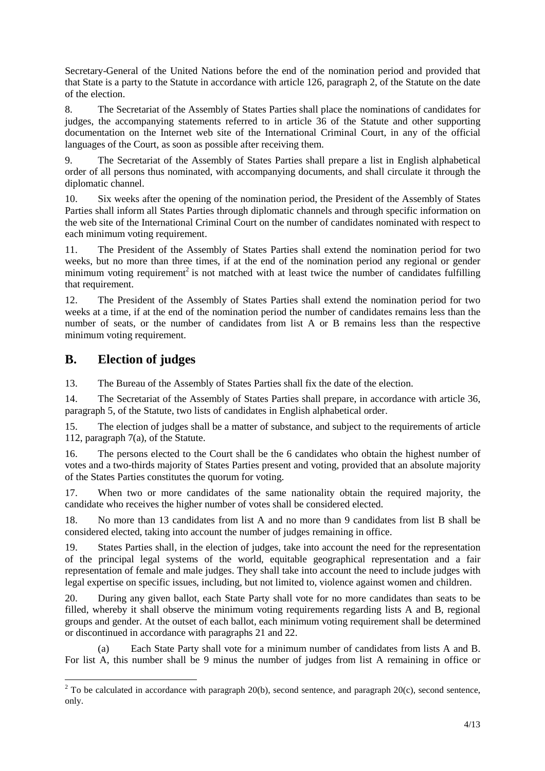Secretary-General of the United Nations before the end of the nomination period and provided that that State is a party to the Statute in accordance with article 126, paragraph 2, of the Statute on the date of the election.

8. The Secretariat of the Assembly of States Parties shall place the nominations of candidates for judges, the accompanying statements referred to in article 36 of the Statute and other supporting documentation on the Internet web site of the International Criminal Court, in any of the official languages of the Court, as soon as possible after receiving them.

9. The Secretariat of the Assembly of States Parties shall prepare a list in English alphabetical order of all persons thus nominated, with accompanying documents, and shall circulate it through the diplomatic channel.

10. Six weeks after the opening of the nomination period, the President of the Assembly of States Parties shall inform all States Parties through diplomatic channels and through specific information on the web site of the International Criminal Court on the number of candidates nominated with respect to each minimum voting requirement.

11. The President of the Assembly of States Parties shall extend the nomination period for two weeks, but no more than three times, if at the end of the nomination period any regional or gender minimum voting requirement<sup>2</sup> is not matched with at least twice the number of candidates fulfilling that requirement.

12. The President of the Assembly of States Parties shall extend the nomination period for two weeks at a time, if at the end of the nomination period the number of candidates remains less than the number of seats, or the number of candidates from list A or B remains less than the respective minimum voting requirement.

### **B. Election of judges**

 $\overline{a}$ 

13. The Bureau of the Assembly of States Parties shall fix the date of the election.

14. The Secretariat of the Assembly of States Parties shall prepare, in accordance with article 36, paragraph 5, of the Statute, two lists of candidates in English alphabetical order.

15. The election of judges shall be a matter of substance, and subject to the requirements of article 112, paragraph 7(a), of the Statute.

16. The persons elected to the Court shall be the 6 candidates who obtain the highest number of votes and a two-thirds majority of States Parties present and voting, provided that an absolute majority of the States Parties constitutes the quorum for voting.

17. When two or more candidates of the same nationality obtain the required majority, the candidate who receives the higher number of votes shall be considered elected.

18. No more than 13 candidates from list A and no more than 9 candidates from list B shall be considered elected, taking into account the number of judges remaining in office.

19. States Parties shall, in the election of judges, take into account the need for the representation of the principal legal systems of the world, equitable geographical representation and a fair representation of female and male judges. They shall take into account the need to include judges with legal expertise on specific issues, including, but not limited to, violence against women and children.

20. During any given ballot, each State Party shall vote for no more candidates than seats to be filled, whereby it shall observe the minimum voting requirements regarding lists A and B, regional groups and gender. At the outset of each ballot, each minimum voting requirement shall be determined or discontinued in accordance with paragraphs 21 and 22.

 (a) Each State Party shall vote for a minimum number of candidates from lists A and B. For list A, this number shall be 9 minus the number of judges from list A remaining in office or

<sup>&</sup>lt;sup>2</sup> To be calculated in accordance with paragraph 20(b), second sentence, and paragraph 20(c), second sentence, only.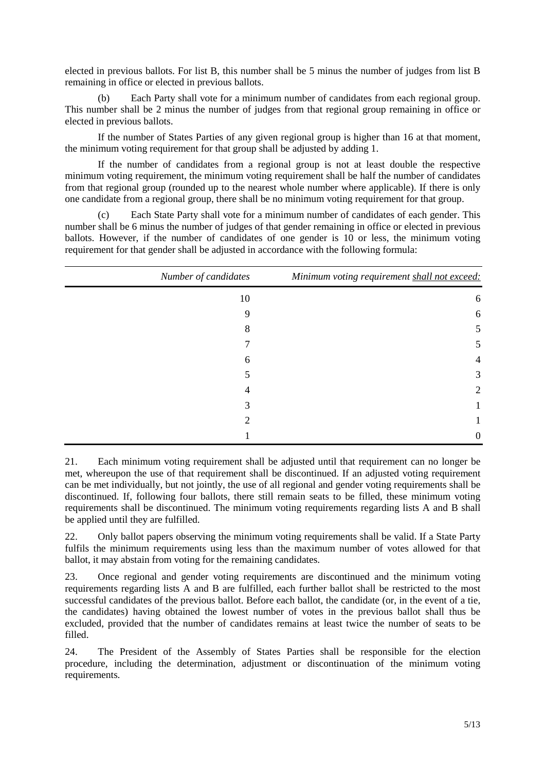elected in previous ballots. For list B, this number shall be 5 minus the number of judges from list B remaining in office or elected in previous ballots.

 (b) Each Party shall vote for a minimum number of candidates from each regional group. This number shall be 2 minus the number of judges from that regional group remaining in office or elected in previous ballots.

 If the number of States Parties of any given regional group is higher than 16 at that moment, the minimum voting requirement for that group shall be adjusted by adding 1.

 If the number of candidates from a regional group is not at least double the respective minimum voting requirement, the minimum voting requirement shall be half the number of candidates from that regional group (rounded up to the nearest whole number where applicable). If there is only one candidate from a regional group, there shall be no minimum voting requirement for that group.

 (c) Each State Party shall vote for a minimum number of candidates of each gender. This number shall be 6 minus the number of judges of that gender remaining in office or elected in previous ballots. However, if the number of candidates of one gender is 10 or less, the minimum voting requirement for that gender shall be adjusted in accordance with the following formula:

| Number of candidates | Minimum voting requirement shall not exceed: |  |
|----------------------|----------------------------------------------|--|
| 10                   | 6                                            |  |
| 9                    | 6                                            |  |
| 8                    | 5                                            |  |
|                      | 5                                            |  |
| 6                    | $\overline{4}$                               |  |
|                      | 3                                            |  |
| 4                    | 2                                            |  |
| 3                    |                                              |  |
| 2                    |                                              |  |
|                      | 0                                            |  |

21. Each minimum voting requirement shall be adjusted until that requirement can no longer be met, whereupon the use of that requirement shall be discontinued. If an adjusted voting requirement can be met individually, but not jointly, the use of all regional and gender voting requirements shall be discontinued. If, following four ballots, there still remain seats to be filled, these minimum voting requirements shall be discontinued. The minimum voting requirements regarding lists A and B shall be applied until they are fulfilled.

22. Only ballot papers observing the minimum voting requirements shall be valid. If a State Party fulfils the minimum requirements using less than the maximum number of votes allowed for that ballot, it may abstain from voting for the remaining candidates.

23. Once regional and gender voting requirements are discontinued and the minimum voting requirements regarding lists A and B are fulfilled, each further ballot shall be restricted to the most successful candidates of the previous ballot. Before each ballot, the candidate (or, in the event of a tie, the candidates) having obtained the lowest number of votes in the previous ballot shall thus be excluded, provided that the number of candidates remains at least twice the number of seats to be filled.

24. The President of the Assembly of States Parties shall be responsible for the election procedure, including the determination, adjustment or discontinuation of the minimum voting requirements.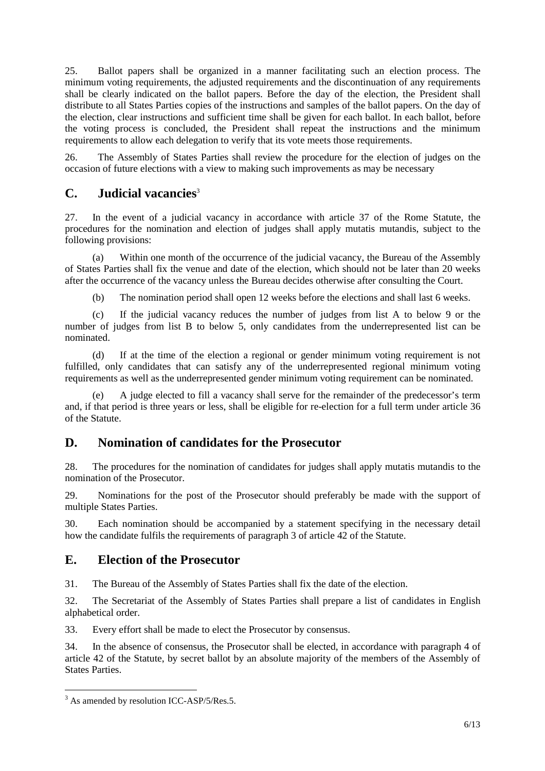25. Ballot papers shall be organized in a manner facilitating such an election process. The minimum voting requirements, the adjusted requirements and the discontinuation of any requirements shall be clearly indicated on the ballot papers. Before the day of the election, the President shall distribute to all States Parties copies of the instructions and samples of the ballot papers. On the day of the election, clear instructions and sufficient time shall be given for each ballot. In each ballot, before the voting process is concluded, the President shall repeat the instructions and the minimum requirements to allow each delegation to verify that its vote meets those requirements.

26. The Assembly of States Parties shall review the procedure for the election of judges on the occasion of future elections with a view to making such improvements as may be necessary

### **C. Judicial vacancies**<sup>3</sup>

27. In the event of a judicial vacancy in accordance with article 37 of the Rome Statute, the procedures for the nomination and election of judges shall apply mutatis mutandis, subject to the following provisions:

 (a) Within one month of the occurrence of the judicial vacancy, the Bureau of the Assembly of States Parties shall fix the venue and date of the election, which should not be later than 20 weeks after the occurrence of the vacancy unless the Bureau decides otherwise after consulting the Court.

(b) The nomination period shall open 12 weeks before the elections and shall last 6 weeks.

 (c) If the judicial vacancy reduces the number of judges from list A to below 9 or the number of judges from list B to below 5, only candidates from the underrepresented list can be nominated.

 (d) If at the time of the election a regional or gender minimum voting requirement is not fulfilled, only candidates that can satisfy any of the underrepresented regional minimum voting requirements as well as the underrepresented gender minimum voting requirement can be nominated.

A judge elected to fill a vacancy shall serve for the remainder of the predecessor's term and, if that period is three years or less, shall be eligible for re-election for a full term under article 36 of the Statute.

### **D. Nomination of candidates for the Prosecutor**

28. The procedures for the nomination of candidates for judges shall apply mutatis mutandis to the nomination of the Prosecutor.

29. Nominations for the post of the Prosecutor should preferably be made with the support of multiple States Parties.

30. Each nomination should be accompanied by a statement specifying in the necessary detail how the candidate fulfils the requirements of paragraph 3 of article 42 of the Statute.

#### **E. Election of the Prosecutor**

31. The Bureau of the Assembly of States Parties shall fix the date of the election.

32. The Secretariat of the Assembly of States Parties shall prepare a list of candidates in English alphabetical order.

33. Every effort shall be made to elect the Prosecutor by consensus.

34. In the absence of consensus, the Prosecutor shall be elected, in accordance with paragraph 4 of article 42 of the Statute, by secret ballot by an absolute majority of the members of the Assembly of States Parties.

<sup>&</sup>lt;sup>3</sup> As amended by resolution ICC-ASP/5/Res.5.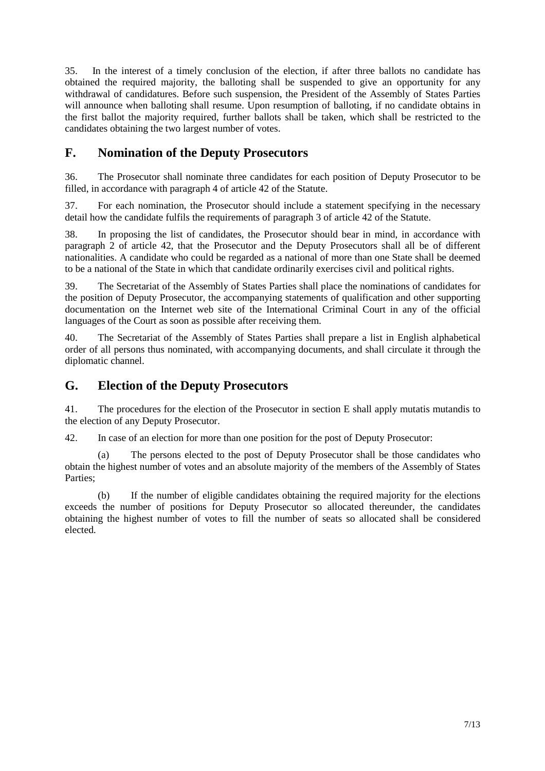35. In the interest of a timely conclusion of the election, if after three ballots no candidate has obtained the required majority, the balloting shall be suspended to give an opportunity for any withdrawal of candidatures. Before such suspension, the President of the Assembly of States Parties will announce when balloting shall resume. Upon resumption of balloting, if no candidate obtains in the first ballot the majority required, further ballots shall be taken, which shall be restricted to the candidates obtaining the two largest number of votes.

### **F. Nomination of the Deputy Prosecutors**

36. The Prosecutor shall nominate three candidates for each position of Deputy Prosecutor to be filled, in accordance with paragraph 4 of article 42 of the Statute.

37. For each nomination, the Prosecutor should include a statement specifying in the necessary detail how the candidate fulfils the requirements of paragraph 3 of article 42 of the Statute.

38. In proposing the list of candidates, the Prosecutor should bear in mind, in accordance with paragraph 2 of article 42, that the Prosecutor and the Deputy Prosecutors shall all be of different nationalities. A candidate who could be regarded as a national of more than one State shall be deemed to be a national of the State in which that candidate ordinarily exercises civil and political rights.

39. The Secretariat of the Assembly of States Parties shall place the nominations of candidates for the position of Deputy Prosecutor, the accompanying statements of qualification and other supporting documentation on the Internet web site of the International Criminal Court in any of the official languages of the Court as soon as possible after receiving them.

40. The Secretariat of the Assembly of States Parties shall prepare a list in English alphabetical order of all persons thus nominated, with accompanying documents, and shall circulate it through the diplomatic channel.

#### **G. Election of the Deputy Prosecutors**

41. The procedures for the election of the Prosecutor in section E shall apply mutatis mutandis to the election of any Deputy Prosecutor.

42. In case of an election for more than one position for the post of Deputy Prosecutor:

 (a) The persons elected to the post of Deputy Prosecutor shall be those candidates who obtain the highest number of votes and an absolute majority of the members of the Assembly of States Parties;

 (b) If the number of eligible candidates obtaining the required majority for the elections exceeds the number of positions for Deputy Prosecutor so allocated thereunder, the candidates obtaining the highest number of votes to fill the number of seats so allocated shall be considered elected.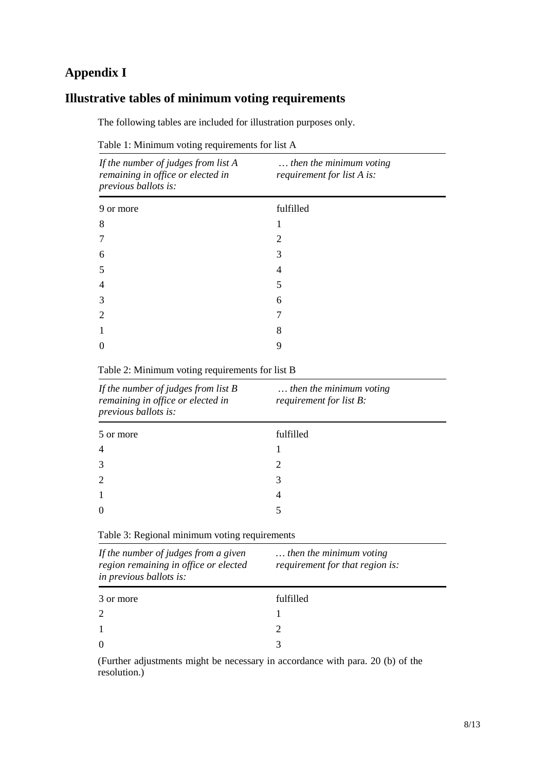# **Appendix I**

# **Illustrative tables of minimum voting requirements**

The following tables are included for illustration purposes only.

| Table 1: Minimum voting requirements for list A |  |  |  |
|-------------------------------------------------|--|--|--|
|-------------------------------------------------|--|--|--|

| If the number of judges from list A<br>remaining in office or elected in<br>previous ballots is: | then the minimum voting<br>requirement for list A is: |  |  |
|--------------------------------------------------------------------------------------------------|-------------------------------------------------------|--|--|
| 9 or more                                                                                        | fulfilled                                             |  |  |
| 8                                                                                                |                                                       |  |  |
|                                                                                                  | 2                                                     |  |  |
| 6                                                                                                | 3                                                     |  |  |
| 5                                                                                                | 4                                                     |  |  |
| 4                                                                                                | 5                                                     |  |  |
| 3                                                                                                | 6                                                     |  |  |
|                                                                                                  |                                                       |  |  |
|                                                                                                  | 8                                                     |  |  |
|                                                                                                  | 9                                                     |  |  |
|                                                                                                  |                                                       |  |  |

Table 2: Minimum voting requirements for list B

| If the number of judges from list $B$<br>remaining in office or elected in<br>previous ballots is: | then the minimum voting<br>requirement for list B: |  |  |
|----------------------------------------------------------------------------------------------------|----------------------------------------------------|--|--|
| 5 or more                                                                                          | fulfilled                                          |  |  |
| $\overline{4}$                                                                                     |                                                    |  |  |
| 3                                                                                                  | 2                                                  |  |  |
| 2                                                                                                  | 3                                                  |  |  |
|                                                                                                    | $\overline{4}$                                     |  |  |
|                                                                                                    |                                                    |  |  |

Table 3: Regional minimum voting requirements

| If the number of judges from a given<br>region remaining in office or elected<br>in previous ballots is: | then the minimum voting<br>requirement for that region is: |  |  |
|----------------------------------------------------------------------------------------------------------|------------------------------------------------------------|--|--|
| 3 or more                                                                                                | fulfilled                                                  |  |  |
|                                                                                                          |                                                            |  |  |
|                                                                                                          |                                                            |  |  |
| $\Omega$                                                                                                 |                                                            |  |  |

(Further adjustments might be necessary in accordance with para. 20 (b) of the resolution.)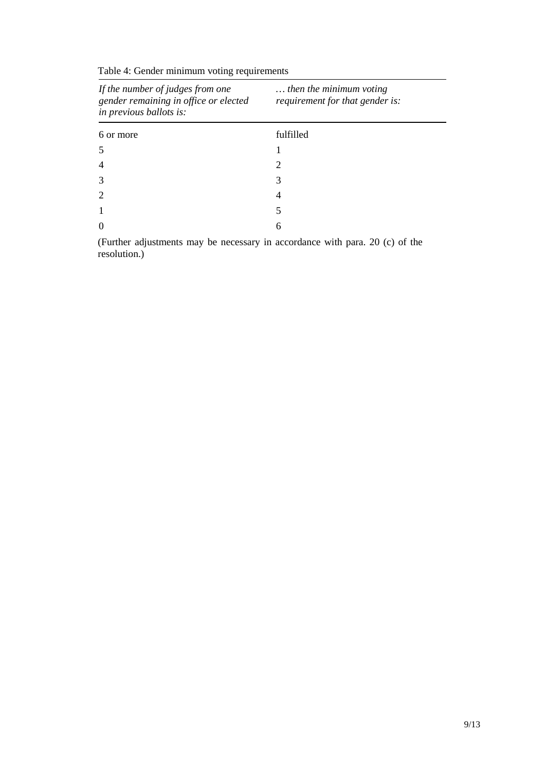| If the number of judges from one<br>gender remaining in office or elected<br>in previous ballots is: | then the minimum voting<br>requirement for that gender is: |  |  |
|------------------------------------------------------------------------------------------------------|------------------------------------------------------------|--|--|
| 6 or more                                                                                            | fulfilled                                                  |  |  |
|                                                                                                      |                                                            |  |  |
|                                                                                                      | 2                                                          |  |  |
|                                                                                                      | 3                                                          |  |  |
|                                                                                                      | 4                                                          |  |  |
|                                                                                                      | 5                                                          |  |  |
|                                                                                                      | 6                                                          |  |  |

Table 4: Gender minimum voting requirements

(Further adjustments may be necessary in accordance with para. 20 (c) of the resolution.)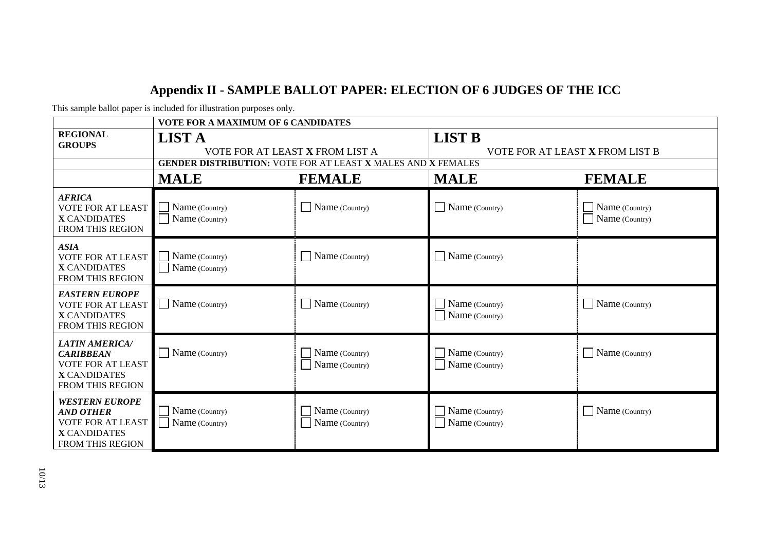# **Appendix II - SAMPLE BALLOT PAPER: ELECTION OF 6 JUDGES OF THE ICC**

| This sample ballot paper is included for illustration purposes only. |  |  |
|----------------------------------------------------------------------|--|--|
|                                                                      |  |  |

| <b>VOTE FOR A MAXIMUM OF 6 CANDIDATES</b>                                                                        |                                                                                                                         |                                  |                                                  |                                  |
|------------------------------------------------------------------------------------------------------------------|-------------------------------------------------------------------------------------------------------------------------|----------------------------------|--------------------------------------------------|----------------------------------|
| <b>REGIONAL</b><br><b>GROUPS</b>                                                                                 | <b>LIST A</b><br>VOTE FOR AT LEAST X FROM LIST A<br><b>GENDER DISTRIBUTION: VOTE FOR AT LEAST X MALES AND X FEMALES</b> |                                  | <b>LIST B</b><br>VOTE FOR AT LEAST X FROM LIST B |                                  |
|                                                                                                                  | <b>MALE</b>                                                                                                             | <b>FEMALE</b>                    | <b>MALE</b>                                      | <b>FEMALE</b>                    |
| <b>AFRICA</b><br><b>VOTE FOR AT LEAST</b><br><b>X CANDIDATES</b><br><b>FROM THIS REGION</b>                      | Name (Country)<br>Name (Country)                                                                                        | Name (Country)                   | $\Box$ Name (Country)                            | Name (Country)<br>Name (Country) |
| <b>ASIA</b><br><b>VOTE FOR AT LEAST</b><br><b>X CANDIDATES</b><br><b>FROM THIS REGION</b>                        | Name (Country)<br>Name (Country)                                                                                        | Name (Country)                   | $\Box$ Name (Country)                            |                                  |
| <b>EASTERN EUROPE</b><br><b>VOTE FOR AT LEAST</b><br><b>X CANDIDATES</b><br>FROM THIS REGION                     | Name (Country)                                                                                                          | Name (Country)                   | Name (Country)<br>Name (Country)                 | Name (Country)                   |
| <b>LATIN AMERICA/</b><br><b>CARIBBEAN</b><br><b>VOTE FOR AT LEAST</b><br><b>X CANDIDATES</b><br>FROM THIS REGION | Name (Country)                                                                                                          | Name (Country)<br>Name (Country) | Name (Country)<br>Name (Country)                 | Name (Country)                   |
| <b>WESTERN EUROPE</b><br><b>AND OTHER</b><br><b>VOTE FOR AT LEAST</b><br><b>X CANDIDATES</b><br>FROM THIS REGION | Name (Country)<br>Name (Country)                                                                                        | Name (Country)<br>Name (Country) | $\vert$ Name (Country)<br>Name (Country)         | Name (Country)                   |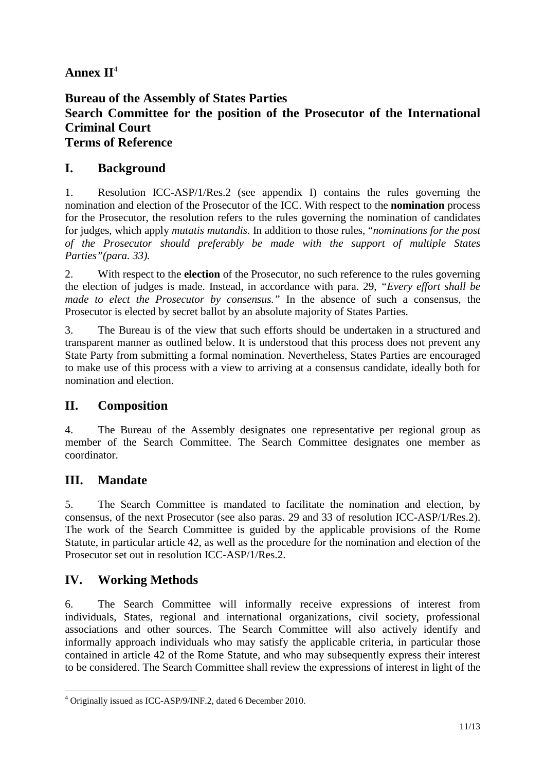# **Annex II**<sup>4</sup>

### **Bureau of the Assembly of States Parties Search Committee for the position of the Prosecutor of the International Criminal Court Terms of Reference**

# **I. Background**

1. Resolution ICC-ASP/1/Res.2 (see appendix I) contains the rules governing the nomination and election of the Prosecutor of the ICC. With respect to the **nomination** process for the Prosecutor, the resolution refers to the rules governing the nomination of candidates for judges, which apply *mutatis mutandis*. In addition to those rules, "*nominations for the post of the Prosecutor should preferably be made with the support of multiple States Parties"(para. 33).* 

2. With respect to the **election** of the Prosecutor, no such reference to the rules governing the election of judges is made. Instead, in accordance with para. 29, *"Every effort shall be made to elect the Prosecutor by consensus."* In the absence of such a consensus, the Prosecutor is elected by secret ballot by an absolute majority of States Parties.

3. The Bureau is of the view that such efforts should be undertaken in a structured and transparent manner as outlined below. It is understood that this process does not prevent any State Party from submitting a formal nomination. Nevertheless, States Parties are encouraged to make use of this process with a view to arriving at a consensus candidate, ideally both for nomination and election.

# **II. Composition**

4. The Bureau of the Assembly designates one representative per regional group as member of the Search Committee. The Search Committee designates one member as coordinator.

# **III. Mandate**

5. The Search Committee is mandated to facilitate the nomination and election, by consensus, of the next Prosecutor (see also paras. 29 and 33 of resolution ICC-ASP/1/Res.2). The work of the Search Committee is guided by the applicable provisions of the Rome Statute, in particular article 42, as well as the procedure for the nomination and election of the Prosecutor set out in resolution ICC-ASP/1/Res.2.

# **IV. Working Methods**

6. The Search Committee will informally receive expressions of interest from individuals, States, regional and international organizations, civil society, professional associations and other sources. The Search Committee will also actively identify and informally approach individuals who may satisfy the applicable criteria, in particular those contained in article 42 of the Rome Statute, and who may subsequently express their interest to be considered. The Search Committee shall review the expressions of interest in light of the

 4 Originally issued as ICC-ASP/9/INF.2, dated 6 December 2010.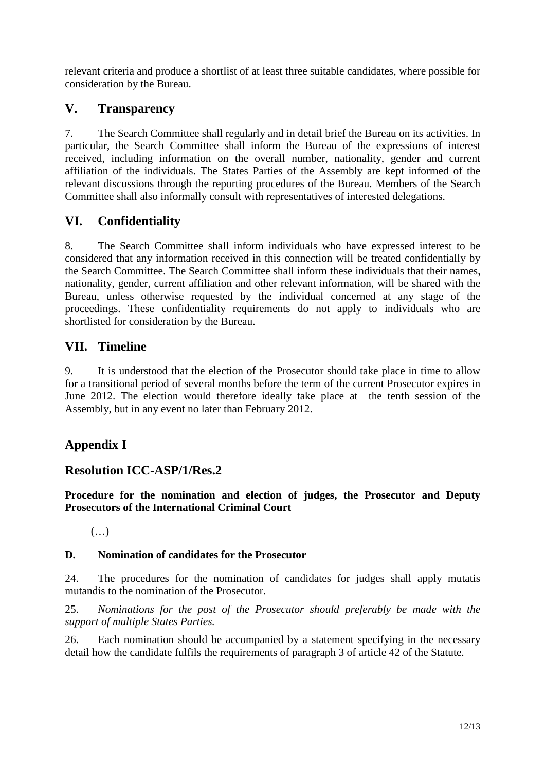relevant criteria and produce a shortlist of at least three suitable candidates, where possible for consideration by the Bureau.

### **V. Transparency**

7. The Search Committee shall regularly and in detail brief the Bureau on its activities. In particular, the Search Committee shall inform the Bureau of the expressions of interest received, including information on the overall number, nationality, gender and current affiliation of the individuals. The States Parties of the Assembly are kept informed of the relevant discussions through the reporting procedures of the Bureau. Members of the Search Committee shall also informally consult with representatives of interested delegations.

### **VI. Confidentiality**

8. The Search Committee shall inform individuals who have expressed interest to be considered that any information received in this connection will be treated confidentially by the Search Committee. The Search Committee shall inform these individuals that their names, nationality, gender, current affiliation and other relevant information, will be shared with the Bureau, unless otherwise requested by the individual concerned at any stage of the proceedings. These confidentiality requirements do not apply to individuals who are shortlisted for consideration by the Bureau.

### **VII. Timeline**

9. It is understood that the election of the Prosecutor should take place in time to allow for a transitional period of several months before the term of the current Prosecutor expires in June 2012. The election would therefore ideally take place at the tenth session of the Assembly, but in any event no later than February 2012.

# **Appendix I**

### **Resolution ICC-ASP/1/Res.2**

**Procedure for the nomination and election of judges, the Prosecutor and Deputy Prosecutors of the International Criminal Court** 

 $(\ldots)$ 

#### **D. Nomination of candidates for the Prosecutor**

24. The procedures for the nomination of candidates for judges shall apply mutatis mutandis to the nomination of the Prosecutor.

25. *Nominations for the post of the Prosecutor should preferably be made with the support of multiple States Parties.* 

26. Each nomination should be accompanied by a statement specifying in the necessary detail how the candidate fulfils the requirements of paragraph 3 of article 42 of the Statute.